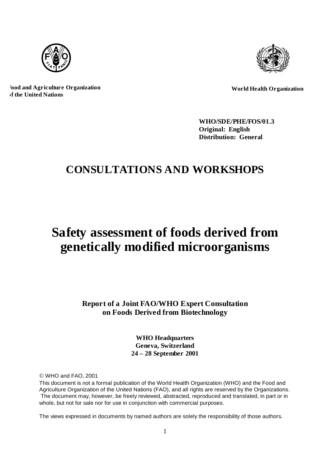



**Food and Agriculture Organization of the United Nations**

**World Health Organization**

**WHO/SDE/PHE/FOS/01.3 Original: English Distribution: General**

# **CONSULTATIONS AND WORKSHOPS**

# **Safety assessment of foods derived from genetically modified microorganisms**

**Report of a Joint FAO/WHO Expert Consultation on F oods Derived from Biotechnology**

> **WHO Headquarters Geneva, Switzerland 24 – 28 September 2001**

© WHO and FAO, 2001

This document is not a formal publication of the World Health Organization (WHO) and the Food and Agriculture Organization of the United Nations (FAO), and all rights are reserved by the Organizations. The document may, however, be freely reviewed, abstracted, reproduced and translated, in part or in whole, but not for sale nor for use in conjunction with commercial purposes.

The views expressed in documents by named authors are solely the responsibility of those authors.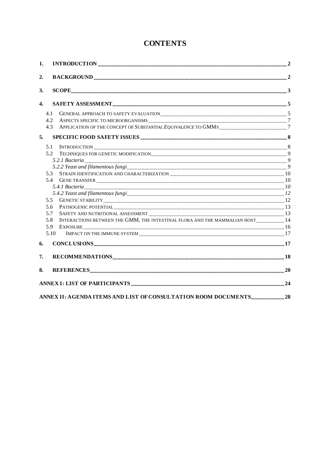## **CONTENTS**

| 1.               |               |                                                                              |    |
|------------------|---------------|------------------------------------------------------------------------------|----|
| 2.               |               |                                                                              |    |
| 3.               |               |                                                                              |    |
| $\overline{4}$ . |               |                                                                              |    |
|                  | 4.1           |                                                                              |    |
|                  | 4.2           |                                                                              |    |
|                  | 4.3           |                                                                              |    |
| 5.               |               |                                                                              |    |
|                  | 5.1           |                                                                              |    |
|                  | 5.2           |                                                                              |    |
|                  |               |                                                                              |    |
|                  |               |                                                                              |    |
|                  | 5.3           |                                                                              |    |
|                  | 5.4           |                                                                              |    |
|                  |               |                                                                              |    |
|                  |               |                                                                              |    |
|                  | $5.5^{\circ}$ |                                                                              |    |
|                  | 5.6           |                                                                              |    |
|                  | 5.7           |                                                                              |    |
|                  | 5.8           | INTERACTIONS BETWEEN THE GMM, THE INTESTINAL FLORA AND THE MAMMALIAN HOST 14 |    |
|                  | 5.9           |                                                                              |    |
|                  | 5.10          |                                                                              |    |
| 6.               |               |                                                                              |    |
| 7.               |               |                                                                              |    |
| 8.               |               |                                                                              |    |
|                  |               |                                                                              | 24 |
|                  |               |                                                                              |    |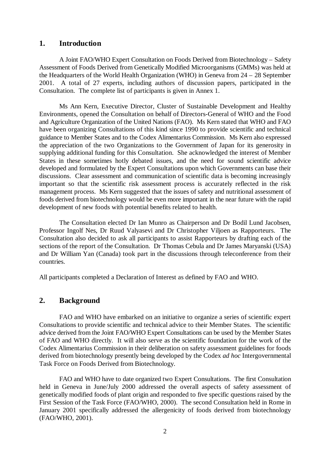## **1. Introduction**

A Joint FAO/WHO Expert Consultation on Foods Derived from Biotechnology – Safety Assessment of Foods Derived from Genetically Modified Microorganisms (GMMs) was held at the Headquarters of the World Health Organization (WHO) in Geneva from 24 – 28 September 2001. A total of 27 experts, including authors of discussion papers, participated in the Consultation. The complete list of participants is given in Annex 1.

Ms Ann Kern, Executive Director, Cluster of Sustainable Development and Healthy Environments, opened the Consultation on behalf of Directors-General of WHO and the Food and Agriculture Organization of the United Nations (FAO). Ms Kern stated that WHO and FAO have been organizing Consultations of this kind since 1990 to provide scientific and technical guidance to Member States and to the Codex Alimentarius Commission. Ms Kern also expressed the appreciation of the two Organizations to the Government of Japan for its generosity in supplying additional funding for this Consultation. She acknowledged the interest of Member States in these sometimes hotly debated issues, and the need for sound scientific advice developed and formulated by the Expert Consultations upon which Governments can base their discussions. Clear assessment and communication of scientific data is becoming increasingly important so that the scientific risk assessment process is accurately reflected in the risk management process. Ms Kern suggested that the issues of safety and nutritional assessment of foods derived from biotechnology would be even more important in the near future with the rapid development of new foods with potential benefits related to health.

The Consultation elected Dr Ian Munro as Chairperson and Dr Bodil Lund Jacobsen, Professor Ingolf Nes, Dr Ruud Valyasevi and Dr Christopher Viljoen as Rapporteurs. The Consultation also decided to ask all participants to assist Rapporteurs by drafting each of the sections of the report of the Consultation. Dr Thomas Cebula and Dr James Maryanski (USA) and Dr William Yan (Canada) took part in the discussions through teleconference from their countries.

All participants completed a Declaration of Interest as defined by FAO and WHO.

## **2. Background**

FAO and WHO have embarked on an initiative to organize a series of scientific expert Consultations to provide scientific and technical advice to their Member States. The scientific advice derived from the Joint FAO/WHO Expert Consultations can be used by the Member States of FAO and WHO directly. It will also serve as the scientific foundation for the work of the Codex Alimentarius Commission in their deliberation on safety assessment guidelines for foods derived from biotechnology presently being developed by the Codex *ad hoc* Intergovernmental Task Force on Foods Derived from Biotechnology.

FAO and WHO have to date organized two Expert Consultations. The first Consultation held in Geneva in June/July 2000 addressed the overall aspects of safety assessment of genetically modified foods of plant origin and responded to five specific questions raised by the First Session of the Task Force (FAO/WHO, 2000). The second Consultation held in Rome in January 2001 specifically addressed the allergenicity of foods derived from biotechnology (FAO/WHO, 2001).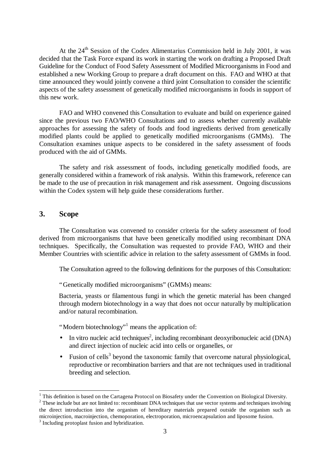At the  $24<sup>th</sup>$  Session of the Codex Alimentarius Commission held in July 2001, it was decided that the Task Force expand its work in starting the work on drafting a Proposed Draft Guideline for the Conduct of Food Safety Assessment of Modified Microorganisms in Food and established a new Working Group to prepare a draft document on this. FAO and WHO at that time announced they would jointly convene a third joint Consultation to consider the scientific aspects of the safety assessment of genetically modified microorganisms in foods in support of this new work.

FAO and WHO convened this Consultation to evaluate and build on experience gained since the previous two FAO/WHO Consultations and to assess whether currently available approaches for assessing the safety of foods and food ingredients derived from genetically modified plants could be applied to genetically modified microorganisms (GMMs). The Consultation examines unique aspects to be considered in the safety assessment of foods produced with the aid of GMMs.

The safety and risk assessment of foods, including genetically modified foods, are generally considered within a framework of risk analysis. Within this framework, reference can be made to the use of precaution in risk management and risk assessment. Ongoing discussions within the Codex system will help guide these considerations further.

## **3. Scope**

The Consultation was convened to consider criteria for the safety assessment of food derived from microorganisms that have been genetically modified using recombinant DNA techniques. Specifically, the Consultation was requested to provide FAO, WHO and their Member Countries with scientific advice in relation to the safety assessment of GMMs in food.

The Consultation agreed to the following definitions for the purposes of this Consultation:

"Genetically modified microorganisms" (GMMs) means:

Bacteria, yeasts or filamentous fungi in which the genetic material has been changed through modern biotechnology in a way that does not occur naturally by multiplication and/or natural recombination.

"Modern biotechnology"<sup>1</sup> means the application of:

- In vitro nucleic acid techniques<sup>2</sup>, including recombinant deoxyribonucleic acid (DNA) and direct injection of nucleic acid into cells or organelles, or
- Fusion of cells<sup>3</sup> beyond the taxonomic family that overcome natural physiological, reproductive or recombination barriers and that are not techniques used in traditional breeding and selection.

<sup>&</sup>lt;sup>1</sup> This definition is based on the Cartagena Protocol on Biosafety under the Convention on Biological Diversity.

 $2$  These include but are not limited to: recombinant DNA techniques that use vector systems and techniques involving the direct introduction into the organism of hereditary materials prepared outside the organism such as microinjection, macroinjection, chemoporation, electroporation, microencapsulation and liposome fusion.

<sup>&</sup>lt;sup>3</sup> Including protoplast fusion and hybridization.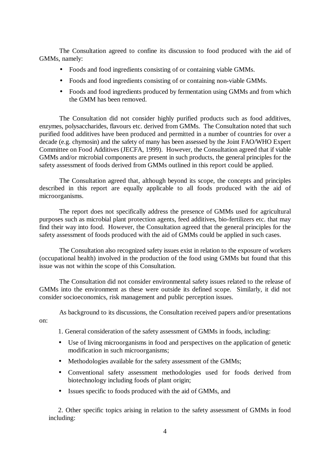The Consultation agreed to confine its discussion to food produced with the aid of GMMs, namely:

- Foods and food ingredients consisting of or containing viable GMMs.
- Foods and food ingredients consisting of or containing non-viable GMMs.
- Foods and food ingredients produced by fermentation using GMMs and from which the GMM has been removed.

The Consultation did not consider highly purified products such as food additives, enzymes, polysaccharides, flavours etc. derived from GMMs. The Consultation noted that such purified food additives have been produced and permitted in a number of countries for over a decade (e.g. chymosin) and the safety of many has been assessed by the Joint FAO/WHO Expert Committee on Food Additives (JECFA, 1999). However, the Consultation agreed that if viable GMMs and/or microbial components are present in such products, the general principles for the safety assessment of foods derived from GMMs outlined in this report could be applied.

The Consultation agreed that, although beyond its scope, the concepts and principles described in this report are equally applicable to all foods produced with the aid of microorganisms.

The report does not specifically address the presence of GMMs used for agricultural purposes such as microbial plant protection agents, feed additives, bio-fertilizers etc. that may find their way into food. However, the Consultation agreed that the general principles for the safety assessment of foods produced with the aid of GMMs could be applied in such cases.

The Consultation also recognized safety issues exist in relation to the exposure of workers (occupational health) involved in the production of the food using GMMs but found that this issue was not within the scope of this Consultation.

The Consultation did not consider environmental safety issues related to the release of GMMs into the environment as these were outside its defined scope. Similarly, it did not consider socioeconomics, risk management and public perception issues.

As background to its discussions, the Consultation received papers and/or presentations

1. General consideration of the safety assessment of GMMs in foods, including:

- Use of living microorganisms in food and perspectives on the application of genetic modification in such microorganisms;
- Methodologies available for the safety assessment of the GMMs:
- Conventional safety assessment methodologies used for foods derived from biotechnology including foods of plant origin;
- Issues specific to foods produced with the aid of GMMs, and

on:

2. Other specific topics arising in relation to the safety assessment of GMMs in food including: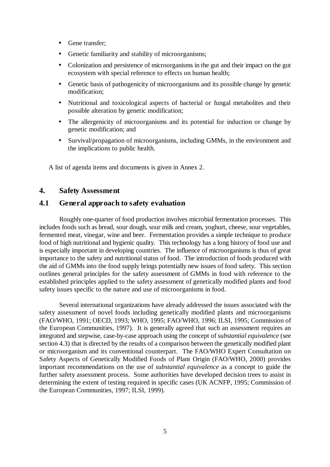- Gene transfer;
- Genetic familiarity and stability of microorganisms;
- Colonization and persistence of microorganisms in the gut and their impact on the gut ecosystem with special reference to effects on human health;
- Genetic basis of pathogenicity of microorganisms and its possible change by genetic modification;
- Nutritional and toxicological aspects of bacterial or fungal metabolites and their possible alteration by genetic modification;
- The allergenicity of microorganisms and its potential for induction or change by genetic modification; and
- Survival/propagation of microorganisms, including GMMs, in the environment and the implications to public health.

A list of agenda items and documents is given in Annex 2.

## **4. Safety Assessment**

## **4.1 General approach to safety evaluation**

Roughly one-quarter of food production involves microbial fermentation processes. This includes foods such as bread, sour dough, sour milk and cream, yoghurt, cheese, sour vegetables, fermented meat, vinegar, wine and beer. Fermentation provides a simple technique to produce food of high nutritional and hygienic quality. This technology has a long history of food use and is especially important in developing countries. The influence of microorganisms is thus of great importance to the safety and nutritional status of food. The introduction of foods produced with the aid of GMMs into the food supply brings potentially new issues of food safety. This section outlines general principles for the safety assessment of GMMs in food with reference to the established principles applied to the safety assessment of genetically modified plants and food safety issues specific to the nature and use of microorganisms in food.

Several international organizations have already addressed the issues associated with the safety assessment of novel foods including genetically modified plants and microorganisms (FAO/WHO, 1991; OECD, 1993; WHO, 1995; FAO/WHO, 1996; ILSI, 1995; Commission of the European Communities, 1997). It is generally agreed that such an assessment requires an integrated and stepwise, case-by-case approach using the concept of *substantial equivalence* (see section 4.3) that is directed by the results of a comparison between the genetically modified plant or microorganism and its conventional counterpart. The FAO/WHO Expert Consultation on Safety Aspects of Genetically Modified Foods of Plant Origin (FAO/WHO, 2000) provides important recommendations on the use of *substantial equivalence* as a concept to guide the further safety assessment process. Some authorities have developed decision trees to assist in determining the extent of testing required in specific cases (UK ACNFP, 1995; Commission of the European Communities, 1997; ILSI, 1999).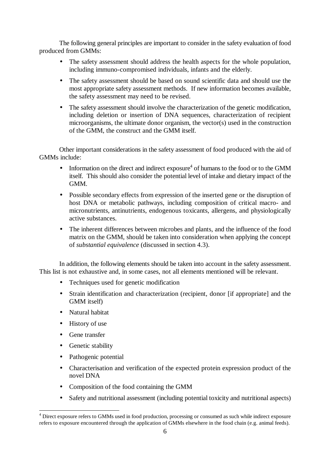The following general principles are important to consider in the safety evaluation of food produced from GMMs:

- The safety assessment should address the health aspects for the whole population, including immuno-compromised individuals, infants and the elderly.
- The safety assessment should be based on sound scientific data and should use the most appropriate safety assessment methods. If new information becomes available, the safety assessment may need to be revised.
- The safety assessment should involve the characterization of the genetic modification, including deletion or insertion of DNA sequences, characterization of recipient microorganisms, the ultimate donor organism, the vector(s) used in the construction of the GMM, the construct and the GMM itself.

Other important considerations in the safety assessment of food produced with the aid of GMMs include:

- Information on the direct and indirect exposure<sup>4</sup> of humans to the food or to the GMM itself. This should also consider the potential level of intake and dietary impact of the GMM.
- Possible secondary effects from expression of the inserted gene or the disruption of host DNA or metabolic pathways, including composition of critical macro- and micronutrients, antinutrients, endogenous toxicants, allergens, and physiologically active substances.
- The inherent differences between microbes and plants, and the influence of the food matrix on the GMM, should be taken into consideration when applying the concept of *substantial equivalence* (discussed in section 4.3).

In addition, the following elements should be taken into account in the safety assessment. This list is not exhaustive and, in some cases, not all elements mentioned will be relevant.

- Techniques used for genetic modification
- Strain identification and characterization (recipient, donor [if appropriate] and the GMM itself)
- Natural habitat
- History of use
- Gene transfer

l

- Genetic stability
- Pathogenic potential
- Characterisation and verification of the expected protein expression product of the novel DNA
- Composition of the food containing the GMM
- Safety and nutritional assessment (including potential toxicity and nutritional aspects)

<sup>&</sup>lt;sup>4</sup> Direct exposure refers to GMMs used in food production, processing or consumed as such while indirect exposure refers to exposure encountered through the application of GMMs elsewhere in the food chain (e.g. animal feeds).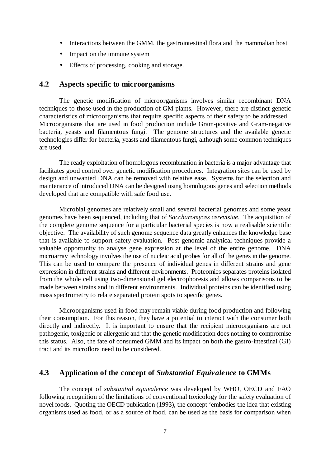- Interactions between the GMM, the gastrointestinal flora and the mammalian host
- Impact on the immune system
- Effects of processing, cooking and storage.

## **4.2 Aspects specific to microorganisms**

The genetic modification of microorganisms involves similar recombinant DNA techniques to those used in the production of GM plants. However, there are distinct genetic characteristics of microorganisms that require specific aspects of their safety to be addressed. Microorganisms that are used in food production include Gram-positive and Gram-negative bacteria, yeasts and filamentous fungi. The genome structures and the available genetic technologies differ for bacteria, yeasts and filamentous fungi, although some common techniques are used.

The ready exploitation of homologous recombination in bacteria is a major advantage that facilitates good control over genetic modification procedures. Integration sites can be used by design and unwanted DNA can be removed with relative ease. Systems for the selection and maintenance of introduced DNA can be designed using homologous genes and selection methods developed that are compatible with safe food use.

Microbial genomes are relatively small and several bacterial genomes and some yeast genomes have been sequenced, including that of *Saccharomyces cerevisiae*. The acquisition of the complete genome sequence for a particular bacterial species is now a realisable scientific objective. The availability of such genome sequence data greatly enhances the knowledge base that is available to support safety evaluation. Post-genomic analytical techniques provide a valuable opportunity to analyse gene expression at the level of the entire genome. DNA microarray technology involves the use of nucleic acid probes for all of the genes in the genome. This can be used to compare the presence of individual genes in different strains and gene expression in different strains and different environments. Proteomics separates proteins isolated from the whole cell using two-dimensional gel electrophoresis and allows comparisons to be made between strains and in different environments. Individual proteins can be identified using mass spectrometry to relate separated protein spots to specific genes.

Microorganisms used in food may remain viable during food production and following their consumption. For this reason, they have a potential to interact with the consumer both directly and indirectly. It is important to ensure that the recipient microorganisms are not pathogenic, toxigenic or allergenic and that the genetic modification does nothing to compromise this status. Also, the fate of consumed GMM and its impact on both the gastro-intestinal (GI) tract and its microflora need to be considered.

## **4.3 Application of the concept of** *Substantial Equivalence* **to GMMs**

The concept of *substantial equivalence* was developed by WHO, OECD and FAO following recognition of the limitations of conventional toxicology for the safety evaluation of novel foods. Quoting the OECD publication (1993), the concept 'embodies the idea that existing organisms used as food, or as a source of food, can be used as the basis for comparison when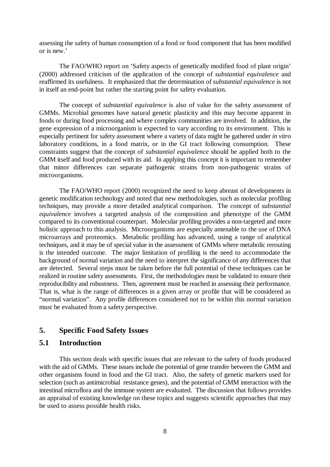assessing the safety of human consumption of a food or food component that has been modified or is new.'

The FAO/WHO report on 'Safety aspects of genetically modified food of plant origin' (2000) addressed criticism of the application of the concept of *substantial equivalence* and reaffirmed its usefulness. It emphasized that the determination of *substantial equivalence* is not in itself an end-point but rather the starting point for safety evaluation.

The concept of *substantial equivalence* is also of value for the safety assessment of GMMs. Microbial genomes have natural genetic plasticity and this may become apparent in foods or during food processing and where complex communities are involved. In addition, the gene expression of a microorganism is expected to vary according to its environment. This is especially pertinent for safety assessment where a variety of data might be gathered under *in vitro* laboratory conditions, in a food matrix, or in the GI tract following consumption. These constraints suggest that the concept of *substantial equivalence* should be applied both to the GMM itself and food produced with its aid. In applying this concept it is important to remember that minor differences can separate pathogenic strains from non-pathogenic strains of microorganisms.

The FAO/WHO report (2000) recognized the need to keep abreast of developments in genetic modification technology and noted that new methodologies, such as molecular profiling techniques, may provide a more detailed analytical comparison. The concept of *substantial equivalence* involves a targeted analysis of the composition and phenotype of the GMM compared to its conventional counterpart. Molecular profiling provides a non-targeted and more holistic approach to this analysis. Microorganisms are especially amenable to the use of DNA microarrays and proteomics. Metabolic profiling has advanced, using a range of analytical techniques, and it may be of special value in the assessment of GMMs where metabolic rerouting is the intended outcome. The major limitation of profiling is the need to accommodate the background of normal variation and the need to interpret the significance of any differences that are detected. Several steps must be taken before the full potential of these techniques can be realized in routine safety assessments. First, the methodologies must be validated to ensure their reproducibility and robustness. Then, agreement must be reached in assessing their performance. That is, what is the range of differences in a given array or profile that will be considered as "normal variation". Any profile differences considered not to be within this normal variation must be evaluated from a safety perspective.

## **5. Specific Food Safety Issues**

## **5.1 Introduction**

This section deals with specific issues that are relevant to the safety of foods produced with the aid of GMMs. These issues include the potential of gene transfer between the GMM and other organisms found in food and the GI tract. Also, the safety of genetic markers used for selection (such as antimicrobial resistance genes), and the potential of GMM interaction with the intestinal microflora and the immune system are evaluated. The discussion that follows provides an appraisal of existing knowledge on these topics and suggests scientific approaches that may be used to assess possible health risks.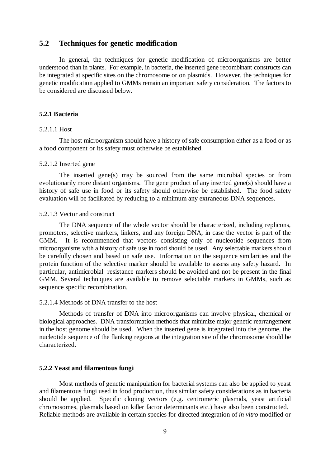## **5.2 Techniques for genetic modification**

In general, the techniques for genetic modification of microorganisms are better understood than in plants. For example, in bacteria, the inserted gene recombinant constructs can be integrated at specific sites on the chromosome or on plasmids. However, the techniques for genetic modification applied to GMMs remain an important safety consideration. The factors to be considered are discussed below.

#### **5.2.1 Bacteria**

#### 5.2.1.1 Host

The host microorganism should have a history of safe consumption either as a food or as a food component or its safety must otherwise be established.

#### 5.2.1.2 Inserted gene

The inserted gene(s) may be sourced from the same microbial species or from evolutionarily more distant organisms. The gene product of any inserted gene(s) should have a history of safe use in food or its safety should otherwise be established. The food safety evaluation will be facilitated by reducing to a minimum any extraneous DNA sequences.

#### 5.2.1.3 Vector and construct

The DNA sequence of the whole vector should be characterized, including replicons, promoters, selective markers, linkers, and any foreign DNA, in case the vector is part of the GMM. It is recommended that vectors consisting only of nucleotide sequences from microorganisms with a history of safe use in food should be used. Any selectable markers should be carefully chosen and based on safe use. Information on the sequence similarities and the protein function of the selective marker should be available to assess any safety hazard. In particular, antimicrobial resistance markers should be avoided and not be present in the final GMM. Several techniques are available to remove selectable markers in GMMs, such as sequence specific recombination.

#### 5.2.1.4 Methods of DNA transfer to the host

Methods of transfer of DNA into microorganisms can involve physical, chemical or biological approaches. DNA transformation methods that minimize major genetic rearrangement in the host genome should be used. When the inserted gene is integrated into the genome, the nucleotide sequence of the flanking regions at the integration site of the chromosome should be characterized.

#### **5.2.2 Yeast and filamentous fungi**

Most methods of genetic manipulation for bacterial systems can also be applied to yeast and filamentous fungi used in food production, thus similar safety considerations as in bacteria should be applied. Specific cloning vectors (e.g. centromeric plasmids, yeast artificial chromosomes, plasmids based on killer factor determinants etc.) have also been constructed. Reliable methods are available in certain species for directed integration of *in vitro* modified or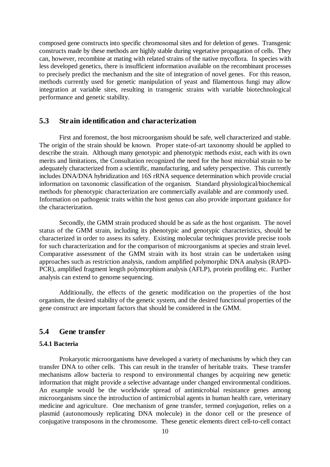composed gene constructs into specific chromosomal sites and for deletion of genes. Transgenic constructs made by these methods are highly stable during vegetative propagation of cells. They can, however, recombine at mating with related strains of the native mycoflora. In species with less developed genetics, there is insufficient information available on the recombinant processes to precisely predict the mechanism and the site of integration of novel genes. For this reason, methods currently used for genetic manipulation of yeast and filamentous fungi may allow integration at variable sites, resulting in transgenic strains with variable biotechnological performance and genetic stability.

## **5.3 Strain identification and characterization**

First and foremost, the host microorganism should be safe, well characterized and stable. The origin of the strain should be known. Proper state-of-art taxonomy should be applied to describe the strain. Although many genotypic and phenotypic methods exist, each with its own merits and limitations, the Consultation recognized the need for the host microbial strain to be adequately characterized from a scientific, manufacturing, and safety perspective. This currently includes DNA/DNA hybridization and 16S rRNA sequence determination which provide crucial information on taxonomic classification of the organism. Standard physiological/biochemical methods for phenotypic characterization are commercially available and are commonly used. Information on pathogenic traits within the host genus can also provide important guidance for the characterization.

Secondly, the GMM strain produced should be as safe as the host organism. The novel status of the GMM strain, including its phenotypic and genotypic characteristics, should be characterized in order to assess its safety. Existing molecular techniques provide precise tools for such characterization and for the comparison of microorganisms at species and strain level. Comparative assessment of the GMM strain with its host strain can be undertaken using approaches such as restriction analysis, random amplified polymorphic DNA analysis (RAPD-PCR), amplified fragment length polymorphism analysis (AFLP), protein profiling etc. Further analysis can extend to genome sequencing.

Additionally, the effects of the genetic modification on the properties of the host organism, the desired stability of the genetic system, and the desired functional properties of the gene construct are important factors that should be considered in the GMM.

## **5.4 Gene transfer**

#### **5.4.1 Bacteria**

Prokaryotic microorganisms have developed a variety of mechanisms by which they can transfer DNA to other cells. This can result in the transfer of heritable traits. These transfer mechanisms allow bacteria to respond to environmental changes by acquiring new genetic information that might provide a selective advantage under changed environmental conditions. An example would be the worldwide spread of antimicrobial resistance genes among microorganisms since the introduction of antimicrobial agents in human health care, veterinary medicine and agriculture. One mechanism of gene transfer, termed *conjugation*, relies on a plasmid (autonomously replicating DNA molecule) in the donor cell or the presence of conjugative transposons in the chromosome. These genetic elements direct cell-to-cell contact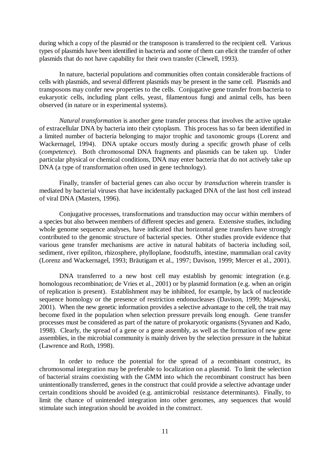during which a copy of the plasmid or the transposon is transferred to the recipient cell. Various types of plasmids have been identified in bacteria and some of them can elicit the transfer of other plasmids that do not have capability for their own transfer (Clewell, 1993).

In nature, bacterial populations and communities often contain considerable fractions of cells with plasmids, and several different plasmids may be present in the same cell. Plasmids and transposons may confer new properties to the cells. Conjugative gene transfer from bacteria to eukaryotic cells, including plant cells, yeast, filamentous fungi and animal cells, has been observed (in nature or in experimental systems).

*Natural transformation* is another gene transfer process that involves the active uptake of extracellular DNA by bacteria into their cytoplasm. This process has so far been identified in a limited number of bacteria belonging to major trophic and taxonomic groups (Lorenz and Wackernagel, 1994). DNA uptake occurs mostly during a specific growth phase of cells (*competence*). Both chromosomal DNA fragments and plasmids can be taken up. Under particular physical or chemical conditions, DNA may enter bacteria that do not actively take up DNA (a type of transformation often used in gene technology).

Finally, transfer of bacterial genes can also occur by *transduction* wherein transfer is mediated by bacterial viruses that have incidentally packaged DNA of the last host cell instead of viral DNA (Masters, 1996).

Conjugative processes, transformations and transduction may occur within members of a species but also between members of different species and genera. Extensive studies, including whole genome sequence analyses, have indicated that horizontal gene transfers have strongly contributed to the genomic structure of bacterial species. Other studies provide evidence that various gene transfer mechanisms are active in natural habitats of bacteria including soil, sediment, river epiliton, rhizosphere, phylloplane, foodstuffs, intestine, mammalian oral cavity (Lorenz and Wackernagel, 1993; Bräutigam et al., 1997; Davison, 1999; Mercer et al., 2001).

DNA transferred to a new host cell may establish by genomic integration (e.g. homologous recombination; de Vries et al., 2001) or by plasmid formation (e.g. when an origin of replication is present). Establishment may be inhibited, for example, by lack of nucleotide sequence homology or the presence of restriction endonucleases (Davison, 1999; Majewski, 2001). When the new genetic information provides a selective advantage to the cell, the trait may become fixed in the population when selection pressure prevails long enough. Gene transfer processes must be considered as part of the nature of prokaryotic organisms (Syvanen and Kado, 1998). Clearly, the spread of a gene or a gene assembly, as well as the formation of new gene assemblies, in the microbial community is mainly driven by the selection pressure in the habitat (Lawrence and Roth, 1998).

In order to reduce the potential for the spread of a recombinant construct, its chromosomal integration may be preferable to localization on a plasmid. To limit the selection of bacterial strains coexisting with the GMM into which the recombinant construct has been unintentionally transferred, genes in the construct that could provide a selective advantage under certain conditions should be avoided (e.g. antimicrobial resistance determinants). Finally, to limit the chance of unintended integration into other genomes, any sequences that would stimulate such integration should be avoided in the construct.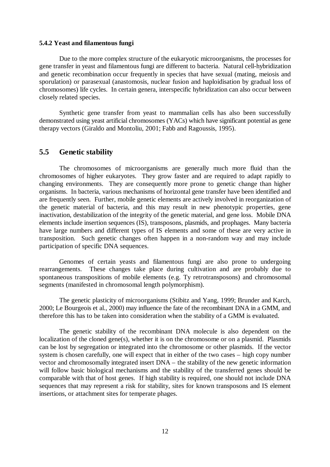#### **5.4.2 Yeast and filamentous fungi**

Due to the more complex structure of the eukaryotic microorganisms, the processes for gene transfer in yeast and filamentous fungi are different to bacteria. Natural cell-hybridization and genetic recombination occur frequently in species that have sexual (mating, meiosis and sporulation) or parasexual (anastomosis, nuclear fusion and haploidisation by gradual loss of chromosomes) life cycles. In certain genera, interspecific hybridization can also occur between closely related species.

Synthetic gene transfer from yeast to mammalian cells has also been successfully demonstrated using yeast artificial chromosomes (YACs) which have significant potential as gene therapy vectors (Giraldo and Montoliu, 2001; Fabb and Ragoussis, 1995).

## **5.5 Genetic stability**

The chromosomes of microorganisms are generally much more fluid than the chromosomes of higher eukaryotes. They grow faster and are required to adapt rapidly to changing environments. They are consequently more prone to genetic change than higher organisms. In bacteria, various mechanisms of horizontal gene transfer have been identified and are frequently seen. Further, mobile genetic elements are actively involved in reorganization of the genetic material of bacteria, and this may result in new phenotypic properties, gene inactivation, destabilization of the integrity of the genetic material, and gene loss. Mobile DNA elements include insertion sequences (IS), transposons, plasmids, and prophages. Many bacteria have large numbers and different types of IS elements and some of these are very active in transposition. Such genetic changes often happen in a non-random way and may include participation of specific DNA sequences.

Genomes of certain yeasts and filamentous fungi are also prone to undergoing rearrangements. These changes take place during cultivation and are probably due to spontaneous transpositions of mobile elements (e.g. Ty retrotransposons) and chromosomal segments (manifested in chromosomal length polymorphism).

The genetic plasticity of microorganisms (Stibitz and Yang, 1999; Brunder and Karch, 2000; Le Bourgeois et al., 2000) may influence the fate of the recombinant DNA in a GMM, and therefore this has to be taken into consideration when the stability of a GMM is evaluated.

The genetic stability of the recombinant DNA molecule is also dependent on the localization of the cloned gene(s), whether it is on the chromosome or on a plasmid. Plasmids can be lost by segregation or integrated into the chromosome or other plasmids. If the vector system is chosen carefully, one will expect that in either of the two cases – high copy number vector and chromosomally integrated insert DNA – the stability of the new genetic information will follow basic biological mechanisms and the stability of the transferred genes should be comparable with that of host genes. If high stability is required, one should not include DNA sequences that may represent a risk for stability, sites for known transposons and IS element insertions, or attachment sites for temperate phages.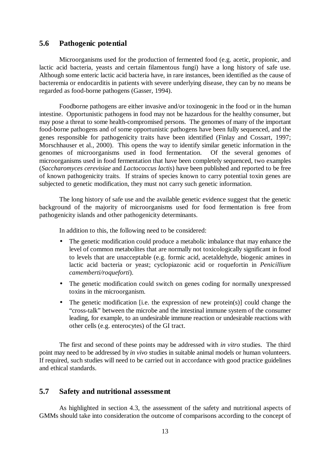## **5.6 Pathogenic potential**

Microorganisms used for the production of fermented food (e.g. acetic, propionic, and lactic acid bacteria, yeasts and certain filamentous fungi) have a long history of safe use. Although some enteric lactic acid bacteria have, in rare instances, been identified as the cause of bacteremia or endocarditis in patients with severe underlying disease, they can by no means be regarded as food-borne pathogens (Gasser, 1994).

Foodborne pathogens are either invasive and/or toxinogenic in the food or in the human intestine. Opportunistic pathogens in food may not be hazardous for the healthy consumer, but may pose a threat to some health-compromised persons. The genomes of many of the important food-borne pathogens and of some opportunistic pathogens have been fully sequenced, and the genes responsible for pathogenicity traits have been identified (Finlay and Cossart, 1997; Morschhauser et al., 2000). This opens the way to identify similar genetic information in the genomes of microorganisms used in food fermentation. Of the several genomes of microorganisms used in food fermentation that have been completely sequenced, two examples (*Saccharomyces cerevisiae* and *Lactococcus lactis*) have been published and reported to be free of known pathogenicity traits. If strains of species known to carry potential toxin genes are subjected to genetic modification, they must not carry such genetic information.

The long history of safe use and the available genetic evidence suggest that the genetic background of the majority of microorganisms used for food fermentation is free from pathogenicity islands and other pathogenicity determinants.

In addition to this, the following need to be considered:

- The genetic modification could produce a metabolic imbalance that may enhance the level of common metabolites that are normally not toxicologically significant in food to levels that are unacceptable (e.g. formic acid, acetaldehyde, biogenic amines in lactic acid bacteria or yeast; cyclopiazonic acid or roquefortin in *Penicillium camemberti/roqueforti*).
- The genetic modification could switch on genes coding for normally unexpressed toxins in the microorganism.
- The genetic modification [i.e. the expression of new protein(s)] could change the "cross-talk" between the microbe and the intestinal immune system of the consumer leading, for example, to an undesirable immune reaction or undesirable reactions with other cells (e.g. enterocytes) of the GI tract.

The first and second of these points may be addressed with *in vitro* studies. The third point may need to be addressed by *in vivo* studies in suitable animal models or human volunteers. If required, such studies will need to be carried out in accordance with good practice guidelines and ethical standards.

## **5.7 Safety and nutritional assessment**

As highlighted in section 4.3, the assessment of the safety and nutritional aspects of GMMs should take into consideration the outcome of comparisons according to the concept of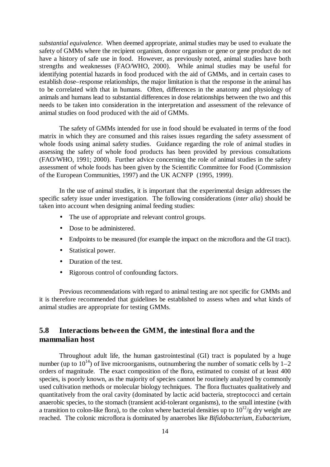*substantial equivalence*. When deemed appropriate, animal studies may be used to evaluate the safety of GMMs where the recipient organism, donor organism or gene or gene product do not have a history of safe use in food. However, as previously noted, animal studies have both strengths and weaknesses (FAO/WHO, 2000). While animal studies may be useful for identifying potential hazards in food produced with the aid of GMMs, and in certain cases to establish dose–response relationships, the major limitation is that the response in the animal has to be correlated with that in humans. Often, differences in the anatomy and physiology of animals and humans lead to substantial differences in dose relationships between the two and this needs to be taken into consideration in the interpretation and assessment of the relevance of animal studies on food produced with the aid of GMMs.

The safety of GMMs intended for use in food should be evaluated in terms of the food matrix in which they are consumed and this raises issues regarding the safety assessment of whole foods using animal safety studies. Guidance regarding the role of animal studies in assessing the safety of whole food products has been provided by previous consultations (FAO/WHO, 1991; 2000). Further advice concerning the role of animal studies in the safety assessment of whole foods has been given by the Scientific Committee for Food (Commission of the European Communities, 1997) and the UK ACNFP (1995, 1999).

In the use of animal studies, it is important that the experimental design addresses the specific safety issue under investigation. The following considerations (*inter alia*) should be taken into account when designing animal feeding studies:

- The use of appropriate and relevant control groups.
- Dose to be administered.
- Endpoints to be measured (for example the impact on the microflora and the GI tract).
- Statistical power.
- Duration of the test.
- Rigorous control of confounding factors.

Previous recommendations with regard to animal testing are not specific for GMMs and it is therefore recommended that guidelines be established to assess when and what kinds of animal studies are appropriate for testing GMMs.

## **5.8 Interactions between the GMM, the intestinal flora and the mammalian host**

Throughout adult life, the human gastrointestinal (GI) tract is populated by a huge number (up to  $10^{14}$ ) of live microorganisms, outnumbering the number of somatic cells by 1–2 orders of magnitude. The exact composition of the flora, estimated to consist of at least 400 species, is poorly known, as the majority of species cannot be routinely analyzed by commonly used cultivation methods or molecular biology techniques. The flora fluctuates qualitatively and quantitatively from the oral cavity (dominated by lactic acid bacteria, streptococci and certain anaerobic species, to the stomach (transient acid-tolerant organisms), to the small intestine (with a transition to colon-like flora), to the colon where bacterial densities up to  $10^{12}/g$  dry weight are reached. The colonic microflora is dominated by anaerobes like *Bifidobacterium*, *Eubacterium,*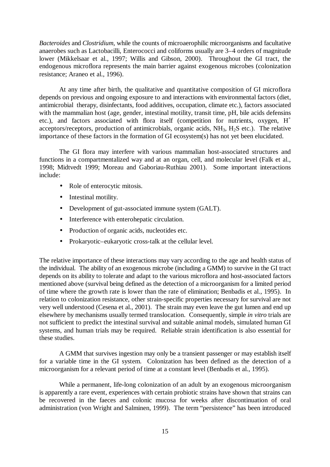*Bacteroides* and *Clostridium*, while the counts of microaerophilic microorganisms and facultative anaerobes such as Lactobacilli, Enterococci and coliforms usually are 3–4 orders of magnitude lower (Mikkelsaar et al., 1997; Willis and Gibson, 2000). Throughout the GI tract, the endogenous microflora represents the main barrier against exogenous microbes (colonization resistance; Araneo et al., 1996).

At any time after birth, the qualitative and quantitative composition of GI microflora depends on previous and ongoing exposure to and interactions with environmental factors (diet, antimicrobial therapy, disinfectants, food additives, occupation, climate etc.), factors associated with the mammalian host (age, gender, intestinal motility, transit time, pH, bile acids defensins etc.), and factors associated with flora itself (competition for nutrients, oxygen,  $H^+$ acceptors/receptors, production of antimicrobials, organic acids,  $NH_3$ ,  $H_2S$  etc.). The relative importance of these factors in the formation of GI ecosystem(s) has not yet been elucidated.

The GI flora may interfere with various mammalian host-associated structures and functions in a compartmentalized way and at an organ, cell, and molecular level (Falk et al., 1998; Midtvedt 1999; Moreau and Gaboriau-Ruthiau 2001). Some important interactions include:

- Role of enterocytic mitosis.
- Intestinal motility.
- Development of gut-associated immune system (GALT).
- Interference with enterohepatic circulation.
- Production of organic acids, nucleotides etc.
- Prokaryotic–eukaryotic cross-talk at the cellular level.

The relative importance of these interactions may vary according to the age and health status of the individual. The ability of an exogenous microbe (including a GMM) to survive in the GI tract depends on its ability to tolerate and adapt to the various microflora and host-associated factors mentioned above (survival being defined as the detection of a microorganism for a limited period of time where the growth rate is lower than the rate of elimination; Benbadis et al., 1995). In relation to colonization resistance, other strain-specific properties necessary for survival are not very well understood (Cesena et al., 2001). The strain may even leave the gut lumen and end up elsewhere by mechanisms usually termed translocation. Consequently, simple *in vitro* trials are not sufficient to predict the intestinal survival and suitable animal models, simulated human GI systems, and human trials may be required. Reliable strain identification is also essential for these studies.

A GMM that survives ingestion may only be a transient passenger or may establish itself for a variable time in the GI system. Colonization has been defined as the detection of a microorganism for a relevant period of time at a constant level (Benbadis et al., 1995).

While a permanent, life-long colonization of an adult by an exogenous microorganism is apparently a rare event, experiences with certain probiotic strains have shown that strains can be recovered in the faeces and colonic mucosa for weeks after discontinuation of oral administration (von Wright and Salminen, 1999). The term "persistence" has been introduced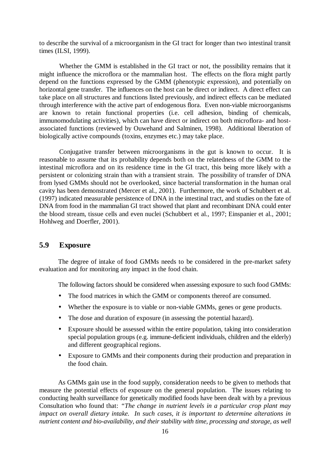to describe the survival of a microorganism in the GI tract for longer than two intestinal transit times (ILSI, 1999).

Whether the GMM is established in the GI tract or not, the possibility remains that it might influence the microflora or the mammalian host. The effects on the flora might partly depend on the functions expressed by the GMM (phenotypic expression), and potentially on horizontal gene transfer. The influences on the host can be direct or indirect. A direct effect can take place on all structures and functions listed previously, and indirect effects can be mediated through interference with the active part of endogenous flora. Even non-viable microorganisms are known to retain functional properties (i.e. cell adhesion, binding of chemicals, immunomodulating activities), which can have direct or indirect on both microflora- and hostassociated functions (reviewed by Ouwehand and Salminen, 1998). Additional liberation of biologically active compounds (toxins, enzymes etc.) may take place.

Conjugative transfer between microorganisms in the gut is known to occur. It is reasonable to assume that its probability depends both on the relatedness of the GMM to the intestinal microflora and on its residence time in the GI tract, this being more likely with a persistent or colonizing strain than with a transient strain. The possibility of transfer of DNA from lysed GMMs should not be overlooked, since bacterial transformation in the human oral cavity has been demonstrated (Mercer et al., 2001). Furthermore, the work of Schubbert et al. (1997) indicated measurable persistence of DNA in the intestinal tract, and studies on the fate of DNA from food in the mammalian GI tract showed that plant and recombinant DNA could enter the blood stream, tissue cells and even nuclei (Schubbert et al., 1997; Einspanier et al., 2001; Hohlweg and Doerfler, 2001).

## **5.9 Exposure**

The degree of intake of food GMMs needs to be considered in the pre-market safety evaluation and for monitoring any impact in the food chain.

The following factors should be considered when assessing exposure to such food GMMs:

- The food matrices in which the GMM or components thereof are consumed.
- Whether the exposure is to viable or non-viable GMMs, genes or gene products.
- The dose and duration of exposure (in assessing the potential hazard).
- Exposure should be assessed within the entire population, taking into consideration special population groups (e.g. immune-deficient individuals, children and the elderly) and different geographical regions.
- Exposure to GMMs and their components during their production and preparation in the food chain.

As GMMs gain use in the food supply, consideration needs to be given to methods that measure the potential effects of exposure on the general population. The issues relating to conducting health surveillance for genetically modified foods have been dealt with by a previous Consultation who found that: *"The change in nutrient levels in a particular crop plant may impact on overall dietary intake. In such cases, it is important to determine alterations in nutrient content and bio-availability, and their stability with time, processing and storage, as well*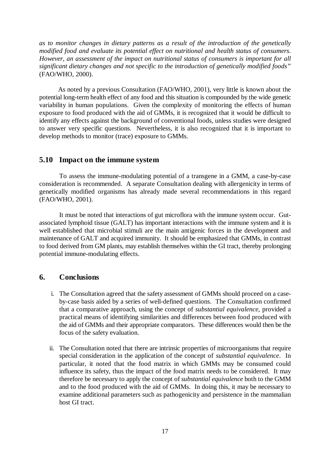*as to monitor changes in dietary patterns as a result of the introduction of the genetically modified food and evaluate its potential effect on nutritional and health status of consumers. However, an assessment of the impact on nutritional status of consumers is important for all significant dietary changes and not specific to the introduction of genetically modified foods"* (FAO/WHO, 2000).

As noted by a previous Consultation (FAO/WHO, 2001), very little is known about the potential long-term health effect of any food and this situation is compounded by the wide genetic variability in human populations. Given the complexity of monitoring the effects of human exposure to food produced with the aid of GMMs, it is recognized that it would be difficult to identify any effects against the background of conventional foods, unless studies were designed to answer very specific questions. Nevertheless, it is also recognized that it is important to develop methods to monitor (trace) exposure to GMMs.

#### **5.10 Impact on the immune system**

To assess the immune-modulating potential of a transgene in a GMM, a case-by-case consideration is recommended. A separate Consultation dealing with allergenicity in terms of genetically modified organisms has already made several recommendations in this regard (FAO/WHO, 2001).

It must be noted that interactions of gut microflora with the immune system occur. Gutassociated lymphoid tissue (GALT) has important interactions with the immune system and it is well established that microbial stimuli are the main antigenic forces in the development and maintenance of GALT and acquired immunity. It should be emphasized that GMMs, in contrast to food derived from GM plants, may establish themselves within the GI tract, thereby prolonging potential immune-modulating effects.

## **6. Conclusions**

- i. The Consultation agreed that the safety assessment of GMMs should proceed on a caseby-case basis aided by a series of well-defined questions. The Consultation confirmed that a comparative approach, using the concept of *substantial equivalence*, provided a practical means of identifying similarities and differences between food produced with the aid of GMMs and their appropriate comparators. These differences would then be the focus of the safety evaluation.
- ii. The Consultation noted that there are intrinsic properties of microorganisms that require special consideration in the application of the concept of *substantial equivalence*. In particular, it noted that the food matrix in which GMMs may be consumed could influence its safety, thus the impact of the food matrix needs to be considered. It may therefore be necessary to apply the concept of *substantial equivalence* both to the GMM and to the food produced with the aid of GMMs. In doing this, it may be necessary to examine additional parameters such as pathogenicity and persistence in the mammalian host GI tract.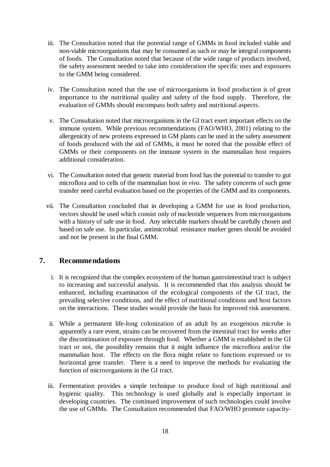- iii. The Consultation noted that the potential range of GMMs in food included viable and non-viable microorganisms that may be consumed as such or may be integral components of foods. The Consultation noted that because of the wide range of products involved, the safety assessment needed to take into consideration the specific uses and exposures to the GMM being considered.
- iv. The Consultation noted that the use of microorganisms in food production is of great importance to the nutritional quality and safety of the food supply. Therefore, the evaluation of GMMs should encompass both safety and nutritional aspects.
- v. The Consultation noted that microorganisms in the GI tract exert important effects on the immune system. While previous recommendations (FAO/WHO, 2001) relating to the allergenicity of new proteins expressed in GM plants can be used in the safety assessment of foods produced with the aid of GMMs, it must be noted that the possible effect of GMMs or their components on the immune system in the mammalian host requires additional consideration.
- vi. The Consultation noted that genetic material from food has the potential to transfer to gut microflora and to cells of the mammalian host *in vivo*. The safety concerns of such gene transfer need careful evaluation based on the properties of the GMM and its components.
- vii. The Consultation concluded that in developing a GMM for use in food production, vectors should be used which consist only of nucleotide sequences from microorganisms with a history of safe use in food. Any selectable markers should be carefully chosen and based on safe use. In particular, antimicrobial resistance marker genes should be avoided and not be present in the final GMM.

## **7. Recommendations**

- i. It is recognized that the complex ecosystem of the human gastrointestinal tract is subject to increasing and successful analysis. It is recommended that this analysis should be enhanced, including examination of the ecological components of the GI tract, the prevailing selective conditions, and the effect of nutritional conditions and host factors on the interactions. These studies would provide the basis for improved risk assessment.
- ii. While a permanent life-long colonization of an adult by an exogenous microbe is apparently a rare event, strains can be recovered from the intestinal tract for weeks after the discontinuation of exposure through food. Whether a GMM is established in the GI tract or not, the possibility remains that it might influence the microflora and/or the mammalian host. The effects on the flora might relate to functions expressed or to horizontal gene transfer. There is a need to improve the methods for evaluating the function of microorganisms in the GI tract.
- iii. Fermentation provides a simple technique to produce food of high nutritional and hygienic quality. This technology is used globally and is especially important in developing countries. The continued improvement of such technologies could involve the use of GMMs. The Consultation recommended that FAO/WHO promote capacity-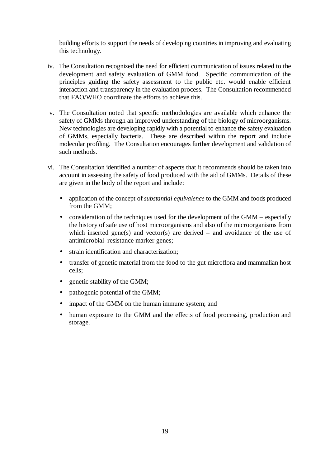building efforts to support the needs of developing countries in improving and evaluating this technology.

- iv. The Consultation recognized the need for efficient communication of issues related to the development and safety evaluation of GMM food. Specific communication of the principles guiding the safety assessment to the public etc. would enable efficient interaction and transparency in the evaluation process. The Consultation recommended that FAO/WHO coordinate the efforts to achieve this.
- v. The Consultation noted that specific methodologies are available which enhance the safety of GMMs through an improved understanding of the biology of microorganisms. New technologies are developing rapidly with a potential to enhance the safety evaluation of GMMs, especially bacteria. These are described within the report and include molecular profiling. The Consultation encourages further development and validation of such methods.
- vi. The Consultation identified a number of aspects that it recommends should be taken into account in assessing the safety of food produced with the aid of GMMs. Details of these are given in the body of the report and include:
	- application of the concept of *substantial equivalence* to the GMM and foods produced from the GMM;
	- consideration of the techniques used for the development of the GMM especially the history of safe use of host microorganisms and also of the microorganisms from which inserted gene(s) and vector(s) are derived – and avoidance of the use of antimicrobial resistance marker genes;
	- strain identification and characterization;
	- transfer of genetic material from the food to the gut microflora and mammalian host cells;
	- genetic stability of the GMM;
	- pathogenic potential of the GMM;
	- impact of the GMM on the human immune system; and
	- human exposure to the GMM and the effects of food processing, production and storage.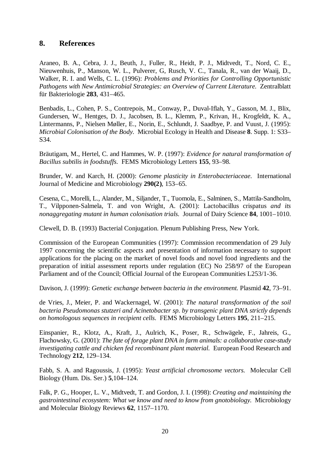## **8. References**

Araneo, B. A., Cebra, J. J., Beuth, J., Fuller, R., Heidt, P. J., Midtvedt, T., Nord, C. E., Nieuwenhuis, P., Manson, W. L., Pulverer, G, Rusch, V. C., Tanala, R., van der Waaij, D., Walker, R. I. and Wells, C. L. (1996): *Problems and Priorities for Controlling Opportunistic Pathogens with New Antimicrobial Strategies: an Overview of Current Literature.* Zentralblatt für Bakteriologie **283**, 431–465.

Benbadis, L., Cohen, P. S., Contrepois, M., Conway, P., Duval-Iflah, Y., Gasson, M. J., Blix, Gundersen, W., Hentges, D. J., Jacobsen, B. L., Klemm, P., Krivan, H., Krogfeldt, K. A., Lintermanns, P., Nielsen Møller, E., Norin, E., Schlundt, J. Saadbye, P. and Vuust, J. (1995): *Microbial Colonisation of the Body.* Microbial Ecology in Health and Disease **8**. Supp. 1: S33– S34.

Bräutigam, M., Hertel, C. and Hammes, W. P. (1997): *Evidence for natural transformation of Bacillus subtilis in foodstuffs.* FEMS Microbiology Letters **155**, 93–98.

Brunder, W. and Karch, H. (2000): *Genome plasticity in Enterobacteriaceae*. International Journal of Medicine and Microbiology **290(2)**, 153–65.

Cesena, C., Morelli, L., Alander, M., Siljander, T., Tuomola, E., Salminen, S., Mattila-Sandholm, T., Vilpponen-Salmela, T. and von Wright, A. (2001): Lactobacillus crispatus *and its nonaggregating mutant in human colonisation trials.* Journal of Dairy Science **84**, 1001–1010.

Clewell, D. B. (1993) Bacterial Conjugation. Plenum Publishing Press, New York.

Commission of the European Communities (1997): Commission recommendation of 29 July 1997 concerning the scientific aspects and presentation of information necessary to support applications for the placing on the market of novel foods and novel food ingredients and the preparation of initial assessment reports under regulation (EC) No 258/97 of the European Parliament and of the Council; Official Journal of the European Communities L253/1-36.

Davison, J. (1999): *Genetic exchange between bacteria in the environment.* Plasmid **42**, 73–91.

de Vries, J., Meier, P. and Wackernagel, W. (2001): *The natural transformation of the soil bacteria Pseudomonas stutzeri and Acinetobacter sp. by transgenic plant DNA strictly depends on homologous sequences in recipient cells.* FEMS Microbiology Letters **195**, 211–215.

Einspanier, R., Klotz, A., Kraft, J., Aulrich, K., Poser, R., Schwägele, F., Jahreis, G., Flachowsky, G. (2001): *The fate of forage plant DNA in farm animals: a collaborative case-study investigating cattle and chicken fed recombinant plant material.* European Food Research and Technology **212**, 129–134.

Fabb, S. A. and Ragoussis, J. (1995): *Yeast artificial chromosome vectors.* Molecular Cell Biology (Hum. Dis. Ser.) **5**,104–124.

Falk, P. G., Hooper, L. V., Midtvedt, T. and Gordon, J. I. (1998): *Creating and maintaining the gastrointestinal ecosystem: What we know and need to know from gnotobiology.* Microbiology and Molecular Biology Reviews **62**, 1157–1170.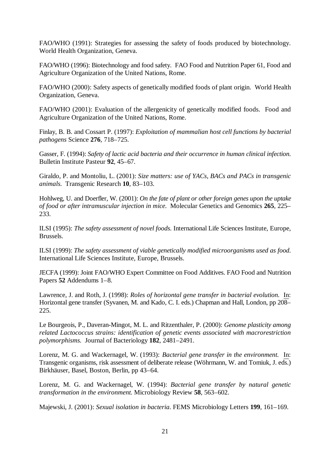FAO/WHO (1991): Strategies for assessing the safety of foods produced by biotechnology. World Health Organization, Geneva.

FAO/WHO (1996): Biotechnology and food safety. FAO Food and Nutrition Paper 61, Food and Agriculture Organization of the United Nations, Rome.

FAO/WHO (2000): Safety aspects of genetically modified foods of plant origin. World Health Organization, Geneva.

FAO/WHO (2001): Evaluation of the allergenicity of genetically modified foods. Food and Agriculture Organization of the United Nations, Rome.

Finlay, B. B. and Cossart P. (1997): *Exploitation of mammalian host cell functions by bacterial pathogens* Science **276**, 718–725.

Gasser, F. (1994): *Safety of lactic acid bacteria and their occurrence in human clinical infection.* Bulletin Institute Pasteur **92**, 45–67.

Giraldo, P. and Montoliu, L. (2001): *Size matters: use of YACs, BACs and PACs in transgenic animals.* Transgenic Research **10**, 83–103.

Hohlweg, U. and Doerfler, W. (2001): *On the fate of plant or other foreign genes upon the uptake of food or after intramuscular injection in mice.* Molecular Genetics and Genomics **265**, 225– 233.

ILSI (1995): *The safety assessment of novel foods.* International Life Sciences Institute, Europe, Brussels.

ILSI (1999): *The safety assessment of viable genetically modified microorganisms used as food.* International Life Sciences Institute, Europe, Brussels.

JECFA (1999): Joint FAO/WHO Expert Committee on Food Additives. FAO Food and Nutrition Papers **52** Addendums 1–8.

Lawrence, J. and Roth, J. (1998): *Roles of horizontal gene transfer in bacterial evolution.* In: Horizontal gene transfer (Syvanen, M. and Kado, C. I. eds.) Chapman and Hall, London, pp 208– 225.

Le Bourgeois, P., Daveran-Mingot, M. L. and Ritzenthaler, P. (2000): *Genome plasticity among related Lactococcus strains: identification of genetic events associated with macrorestriction polymorphisms.* Journal of Bacteriology **182**, 2481–2491.

Lorenz, M. G. and Wackernagel, W. (1993): *Bacterial gene transfer in the environment.* In: Transgenic organisms, risk assessment of deliberate release (Wöhrmann, W. and Tomiuk, J. eds.) Birkhäuser, Basel, Boston, Berlin, pp 43–64.

Lorenz, M. G. and Wackernagel, W. (1994): *Bacterial gene transfer by natural genetic transformation in the environment.* Microbiology Review **58**, 563–602.

Majewski, J. (2001): *Sexual isolation in bacteria.* FEMS Microbiology Letters **199**, 161–169.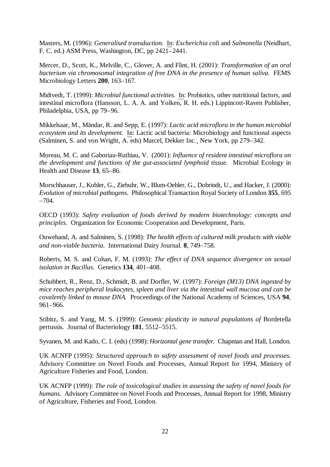Masters, M. (1996): *Generalised transduction.* In: *Escherichia coli* and *Salmonella* (Neidhart, F. C. ed.) ASM Press, Washington, DC, pp 2421–2441.

Mercer, D., Scott, K., Melville, C., Glover, A. and Flint, H. (2001): *Transformation of an oral bacterium via chromosomal integration of free DNA in the presence of human saliva.* FEMS Microbiology Letters **200**, 163–167.

Midtvedt, T. (1999): *Microbial functional activities.* In: Probiotics, other nutritional factors, and intestinal microflora (Hansson, L. A. A. and Yolken, R. H. eds.) Lippincott-Raven Publisher, Philadelphia, USA, pp 79–96.

Mikkelsaar, M., Mändar, R. and Sepp, E. (1997): *Lactic acid microflora in the human microbial ecosystem and its development.* In: Lactic acid bacteria: Microbiology and functional aspects (Salminen, S. and von Wright, A. eds) Marcel, Dekker Inc.¸ New York, pp 279–342.

Moreau, M. C. and Gaboriau-Ruthiau, V. (2001): *Influence of resident intestinal microflora on the development and functions of the gut-associated lymphoid tissue.* Microbial Ecology in Health and Disease **13**, 65–86.

Morschhauser, J., Kohler, G., Ziebuhr, W., Blum-Oehler, G., Dobrindt, U., and Hacker, J. (2000): *Evolution of microbial pathogens.* Philosophical Transaction Royal Society of London **355**, 695 –704.

OECD (1993): *Safety evaluation of foods derived by modern biotechnology: concepts and principles.* Organization for Economic Cooperation and Development, Paris.

Ouwehand, A. and Salminen, S. (1998): *The health effects of cultured milk products with viable and non-viable bacteria.* International Dairy Journal. **8**, 749–758.

Roberts, M. S. and Cohan, F. M. (1993): *The effect of DNA sequence divergence on sexual isolation in Bacillus.* Genetics **134**, 401–408.

Schubbert, R., Renz, D., Schmidt, B. and Dorfler, W. (1997): *Foreign (M13) DNA ingested by mice reaches peripheral leukocytes, spleen and liver via the intestinal wall mucosa and can be covalently linked to mouse DNA.* Proceedings of the National Academy of Sciences, USA **94**, 961–966.

Stibitz, S. and Yang, M. S. (1999): *Genomic plasticity in natural populations of* Bordetella pertussis*.* Journal of Bacteriology **181**, 5512–5515.

Syvanen, M. and Kado, C. I. (eds) (1998): *Horizontal gene transfer.* Chapman and Hall, London.

UK ACNFP (1995): *Structured approach to safety assessment of novel foods and processes.* Advisory Committee on Novel Foods and Processes, Annual Report for 1994, Ministry of Agriculture Fisheries and Food, London.

UK ACNFP (1999): *The role of toxicological studies in assessing the safety of novel foods for humans.* Advisory Committee on Novel Foods and Processes, Annual Report for 1998, Ministry of Agriculture, Fisheries and Food, London.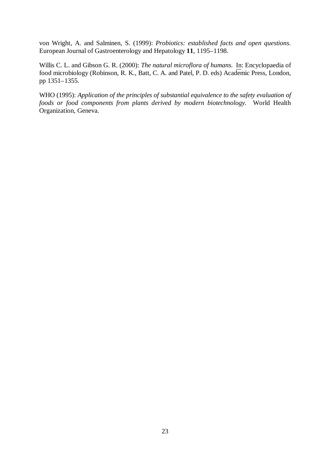von Wright, A. and Salminen, S. (1999): *Probiotics: established facts and open questions.* European Journal of Gastroenterology and Hepatology **11**, 1195–1198.

Willis C. L. and Gibson G. R. (2000): *The natural microflora of humans.* In: Encyclopaedia of food microbiology (Robinson, R. K., Batt, C. A. and Patel, P. D. eds) Academic Press, London, pp 1351–1355.

WHO (1995): *Application of the principles of substantial equivalence to the safety evaluation of foods or food components from plants derived by modern biotechnology.* World Health Organization, Geneva.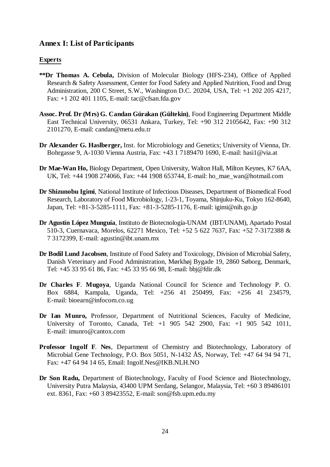## **Annex I: List of Participants**

## **Experts**

- **\*\*Dr Thomas A. Cebula,** Division of Molecular Biology (HFS-234), Office of Applied Research & Safety Assessment, Center for Food Safety and Applied Nutrition, Food and Drug Administration, 200 C Street, S.W., Washington D.C. 20204, USA, Tel: +1 202 205 4217, Fax: +1 202 401 1105, E-mail: tac@cfsan.fda.gov
- **Assoc. Prof. Dr (Mrs) G. Candan Gürakan (Gültekin)**, Food Engineering Department Middle East Technical University, 06531 Ankara, Turkey, Tel: +90 312 2105642, Fax: +90 312 2101270, E-mail: candan@metu.edu.tr
- **Dr Alexander G. Haslberger,** Inst. for Microbiology and Genetics; University of Vienna, Dr. Bohrgasse 9, A-1030 Vienna Austria, Fax: +43 1 7189470 1690, E-mail: hasi1@via.at
- **Dr Mae-Wan Ho,** Biology Department, Open University, Walton Hall, Milton Keynes, K7 6AA, UK, Tel: +44 1908 274066, Fax: +44 1908 653744, E-mail: ho\_mae\_wan@hotmail.com
- **Dr Shizunobu Igimi**, National Institute of Infectious Diseases, Department of Biomedical Food Research, Laboratory of Food Microbiology, 1-23-1, Toyama, Shinjuku-Ku, Tokyo 162-8640, Japan, Tel: +81-3-5285-1111, Fax: +81-3-5285-1176, E-mail: igimi@nih.go.jp
- **Dr Agustín López Munguía**, Instituto de Biotecnología-UNAM (IBT/UNAM), Apartado Postal 510-3, Cuernavaca, Morelos, 62271 Mexico, Tel: +52 5 622 7637, Fax: +52 7-3172388 & 7 3172399, E-mail: agustin@ibt.unam.mx
- **Dr Bodil Lund Jacobsen**, Institute of Food Safety and Toxicology, Division of Microbial Safety, Danish Veterinary and Food Administration, Mørkhøj Bygade 19, 2860 Søborg, Denmark, Tel: +45 33 95 61 86, Fax: +45 33 95 66 98, E-mail: bbj@fdir.dk
- **Dr Charles F**. **Mugoya**, Uganda National Council for Science and Technology P. O. Box 6884, Kampala, Uganda, Tel: +256 41 250499, Fax: +256 41 234579, E-mail: bioearn@infocom.co.ug
- **Dr Ian Munro,** Professor, Department of Nutritional Sciences, Faculty of Medicine, University of Toronto, Canada, Tel: +1 905 542 2900, Fax: +1 905 542 1011, E-mail: imunro@cantox.com
- **Professor Ingolf F**. **Nes**, Department of Chemistry and Biotechnology, Laboratory of Microbial Gene Technology, P.O. Box 5051, N-1432 ÅS, Norway, Tel: +47 64 94 94 71, Fax: +47 64 94 14 65, Email: Ingolf.Nes@IKB.NLH.NO
- **Dr Son Radu,** Department of Biotechnology, Faculty of Food Science and Biotechnology, University Putra Malaysia, 43400 UPM Serdang, Selangor, Malaysia, Tel: +60 3 89486101 ext. 8361, Fax: +60 3 89423552, E-mail: son@fsb.upm.edu.my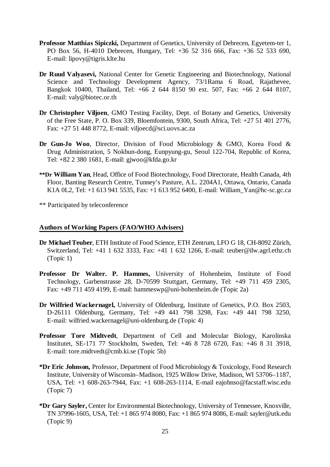- **Professor Matthias Sipiczki,** Department of Genetics, University of Debrecen, Egyetem-ter 1, PO Box 56, H-4010 Debrecen, Hungary, Tel: +36 52 316 666, Fax: +36 52 533 690, E-mail: lipovy@tigris.klte.hu
- **Dr Ruud Valyasevi,** National Center for Genetic Engineering and Biotechnology, National Science and Technology Development Agency, 73/1Rama 6 Road, Rajathevee, Bangkok 10400, Thailand, Tel: +66 2 644 8150 90 ext. 507, Fax: +66 2 644 8107, E-mail: valy@biotec.or.th
- **Dr Christopher Viljoen**, GMO Testing Facility, Dept. of Botany and Genetics, University of the Free State, P. O. Box 339, Bloemfontein, 9300, South Africa, Tel: +27 51 401 2776, Fax: +27 51 448 8772, E-mail: viljoecd@sci.uovs.ac.za
- **Dr Gun-Jo Woo**, Director, Division of Food Microbiology & GMO, Korea Food & Drug Administration, 5 Nokbun-dong, Eunpyung-gu, Seoul 122-704, Republic of Korea, Tel: +82 2 380 1681, E-mail: gjwoo@kfda.go.kr
- **\*\*Dr William Yan**, Head, Office of Food Biotechnology, Food Directorate, Health Canada, 4th Floor, Banting Research Centre, Tunney's Pasture, A.L. 2204A1, Ottawa, Ontario, Canada K1A 0L2, Tel: +1 613 941 5535, Fax: +1 613 952 6400, E-mail: William\_Yan@hc-sc.gc.ca

\*\* Participated by teleconference

#### **Authors of Working Papers (FAO/WHO Advisers)**

- **Dr Michael Teuber**, ETH Institute of Food Science, ETH Zentrum, LFO G 18, CH-8092 Zürich, Switzerland, Tel: +41 1 632 3333, Fax: +41 1 632 1266, E-mail: teuber@ilw.agrl.ethz.ch (Topic 1)
- **Professor Dr Walter. P. Hammes,** University of Hohenheim, Institute of Food Technology, Garbenstrasse 28, D-70599 Stuttgart, Germany, Tel: +49 711 459 2305, Fax: +49 711 459 4199, E-mail: hammeswp@uni-hohenheim.de (Topic 2a)
- **Dr Wilfried Wackernagel,** University of Oldenburg, Institute of Genetics, P.O. Box 2503, D-26111 Oldenburg, Germany, Tel: +49 441 798 3298, Fax: +49 441 798 3250, E-mail: wilfried.wackernagel@uni-oldenburg.de (Topic 4)
- **Professor Tore Midtvedt**, Department of Cell and Molecular Biology, Karolinska Institutet, SE-171 77 Stockholm, Sweden, Tel: +46 8 728 6720, Fax: +46 8 31 3918, E-mail: tore.midtvedt@cmb.ki.se (Topic 5b)
- **\*Dr Eric Johnson,** Professor, Department of Food Microbiology & Toxicology, Food Research Institute, University of Wisconsin–Madison, 1925 Willow Drive, Madison, WI 53706–1187, USA, Tel: +1 608-263-7944, Fax: +1 608-263-1114, E-mail eajohnso@facstaff.wisc.edu (Topic 7)
- **\*Dr Gary Sayler,** Center for Environmental Biotechnology, University of Tennessee, Knoxville, TN 37996-1605, USA, Tel: +1 865 974 8080, Fax: +1 865 974 8086, E-mail: sayler@utk.edu (Topic 9)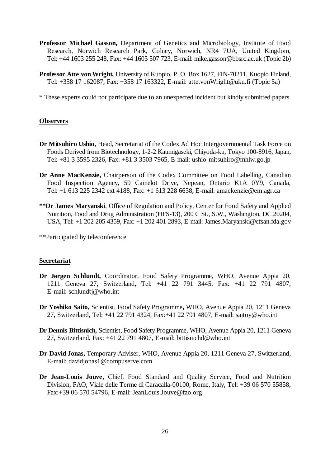- **Professor Michael Gasson,** Department of Genetics and Microbiology, Institute of Food Research, Norwich Research Park, Colney, Norwich, NR4 7UA, United Kingdom, Tel: +44 1603 255 248, Fax: +44 1603 507 723, E-mail: mike.gasson@bbsrc.ac.uk (Topic 2b)
- **Professor Atte von Wright,** University of Kuopio, P. O. Box 1627, FIN-70211, Kuopio Finland, Tel: +358 17 162087, Fax: +358 17 163322, E-mail: atte.vonWright@uku.fi (Topic 5a)

\* These experts could not participate due to an unexpected incident but kindly submitted papers.

#### **Observers**

- **Dr Mitsuhiro Ushio,** Head, Secretariat of the Codex Ad Hoc Intergovernmental Task Force on Foods Derived from Biotechnology, 1-2-2 Kaumigaseki, Chiyoda-ku, Tokyo 100-8916, Japan, Tel: +81 3 3595 2326, Fax: +81 3 3503 7965, E-mail: ushio-mitsuhiro@mhlw.go.jp
- **Dr Anne MacKenzie,** Chairperson of the Codex Committee on Food Labelling, Canadian Food Inspection Agency, 59 Camelot Drive, Nepean, Ontario K1A 0Y9, Canada, Tel: +1 613 225 2342 ext 4188, Fax: +1 613 228 6638, E-mail: amackenzie@em.agr.ca
- **\*\*Dr James Maryanski**, Office of Regulation and Policy, Center for Food Safety and Applied Nutrition, Food and Drug Administration (HFS-13), 200 C St., S.W., Washington, DC 20204, USA, Tel: +1 202 205 4359, Fax: +1 202 401 2893, E-mail: James.Maryanski@cfsan.fda.gov

\*\*Participated by teleconference

#### **Secretariat**

- **Dr Jørgen Schlundt,** Coordinator, Food Safety Programme, WHO, Avenue Appia 20, 1211 Geneva 27, Switzerland, Tel: +41 22 791 3445. Fax: +41 22 791 4807, E-mail: schlundtj@who.int
- **Dr Yoshiko Saito,** Scientist, Food Safety Programme**,** WHO, Avenue Appia 20, 1211 Geneva 27, Switzerland, Tel: +41 22 791 4324, Fax:+41 22 791 4807, E-mail: saitoy@who.int
- **Dr Dennis Bittisnich,** Scientist, Food Safety Programme, WHO, Avenue Appia 20, 1211 Geneva 27, Switzerland, Fax: +41 22 791 4807, E-mail: bittisnichd@who.int
- **Dr David Jonas,** Temporary Adviser, WHO, Avenue Appia 20, 1211 Geneva 27, Switzerland, E-mail: davidjonas1@compuserve.com
- **Dr Jean-Louis Jouve,** Chief, Food Standard and Quality Service, Food and Nutrition Division, FAO, Viale delle Terme di Caracalla-00100, Rome, Italy, Tel: +39 06 570 55858, Fax:+39 06 570 54796, E-mail: JeanLouis.Jouve@fao.org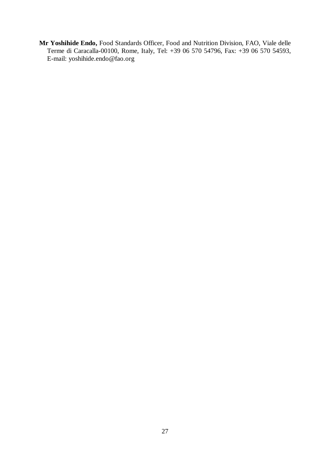**Mr Yoshihide Endo,** Food Standards Officer, Food and Nutrition Division, FAO, Viale delle Terme di Caracalla-00100, Rome, Italy, Tel: +39 06 570 54796, Fax: +39 06 570 54593, E-mail: yoshihide.endo@fao.org